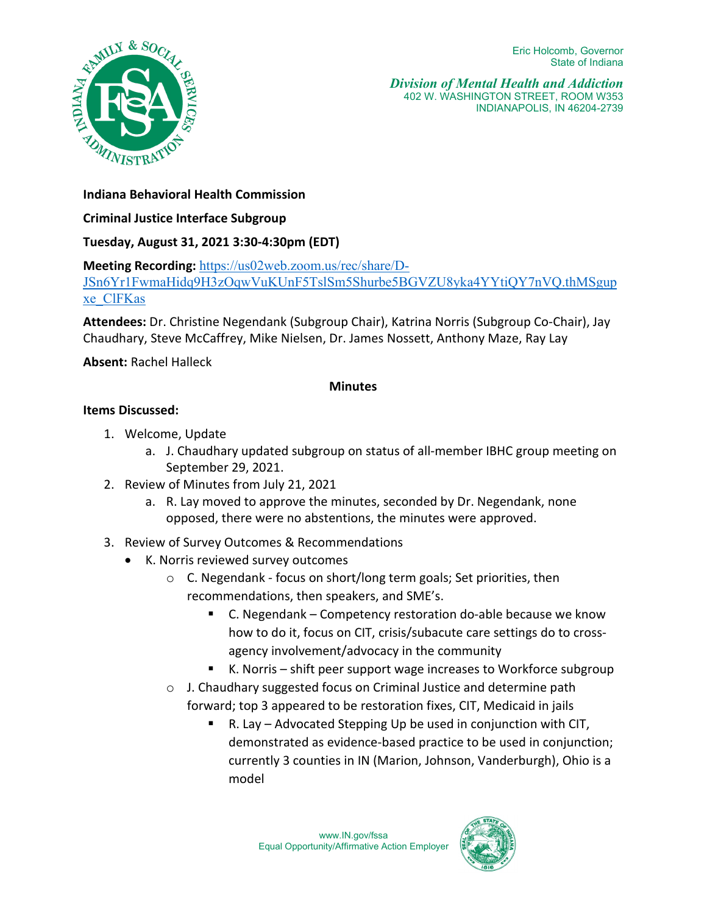

*Division of Mental Health and Addiction*  402 W. WASHINGTON STREET, ROOM W353 INDIANAPOLIS, IN 46204-2739

# **Indiana Behavioral Health Commission**

**Criminal Justice Interface Subgroup**

# **Tuesday, August 31, 2021 3:30-4:30pm (EDT)**

**Meeting Recording:** [https://us02web.zoom.us/rec/share/D-](https://us02web.zoom.us/rec/share/D-JSn6Yr1FwmaHidq9H3zOqwVuKUnF5TslSm5Shurbe5BGVZU8yka4YYtiQY7nVQ.thMSgupxe_ClFKas)

[JSn6Yr1FwmaHidq9H3zOqwVuKUnF5TslSm5Shurbe5BGVZU8yka4YYtiQY7nVQ.thMSgup](https://us02web.zoom.us/rec/share/D-JSn6Yr1FwmaHidq9H3zOqwVuKUnF5TslSm5Shurbe5BGVZU8yka4YYtiQY7nVQ.thMSgupxe_ClFKas) [xe\\_ClFKas](https://us02web.zoom.us/rec/share/D-JSn6Yr1FwmaHidq9H3zOqwVuKUnF5TslSm5Shurbe5BGVZU8yka4YYtiQY7nVQ.thMSgupxe_ClFKas)

**Attendees:** Dr. Christine Negendank (Subgroup Chair), Katrina Norris (Subgroup Co-Chair), Jay Chaudhary, Steve McCaffrey, Mike Nielsen, Dr. James Nossett, Anthony Maze, Ray Lay

**Absent:** Rachel Halleck

## **Minutes**

# **Items Discussed:**

- 1. Welcome, Update
	- a. J. Chaudhary updated subgroup on status of all-member IBHC group meeting on September 29, 2021.
- 2. Review of Minutes from July 21, 2021
	- a. R. Lay moved to approve the minutes, seconded by Dr. Negendank, none opposed, there were no abstentions, the minutes were approved.
- 3. Review of Survey Outcomes & Recommendations
	- K. Norris reviewed survey outcomes
		- o C. Negendank focus on short/long term goals; Set priorities, then recommendations, then speakers, and SME's.
			- C. Negendank Competency restoration do-able because we know how to do it, focus on CIT, crisis/subacute care settings do to crossagency involvement/advocacy in the community
			- K. Norris shift peer support wage increases to Workforce subgroup
		- o J. Chaudhary suggested focus on Criminal Justice and determine path forward; top 3 appeared to be restoration fixes, CIT, Medicaid in jails
			- R. Lay Advocated Stepping Up be used in conjunction with CIT, demonstrated as evidence-based practice to be used in conjunction; currently 3 counties in IN (Marion, Johnson, Vanderburgh), Ohio is a model

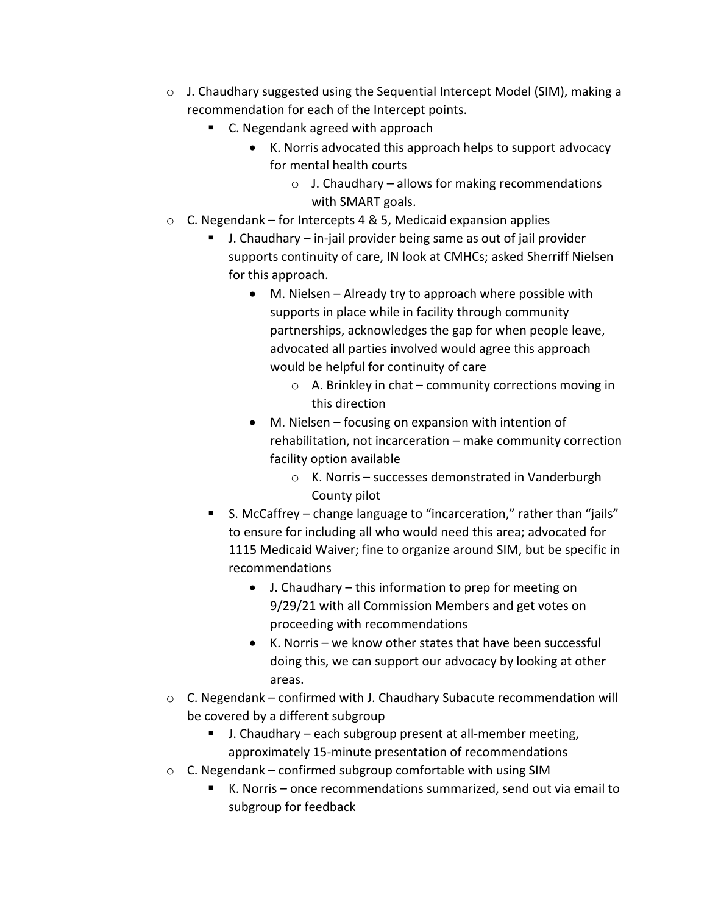- $\circ$  J. Chaudhary suggested using the Sequential Intercept Model (SIM), making a recommendation for each of the Intercept points.
	- C. Negendank agreed with approach
		- K. Norris advocated this approach helps to support advocacy for mental health courts
			- $\circ$  J. Chaudhary allows for making recommendations with SMART goals.
- $\circ$  C. Negendank for Intercepts 4 & 5, Medicaid expansion applies
	- J. Chaudhary in-jail provider being same as out of jail provider supports continuity of care, IN look at CMHCs; asked Sherriff Nielsen for this approach.
		- M. Nielsen Already try to approach where possible with supports in place while in facility through community partnerships, acknowledges the gap for when people leave, advocated all parties involved would agree this approach would be helpful for continuity of care
			- o A. Brinkley in chat community corrections moving in this direction
		- M. Nielsen focusing on expansion with intention of rehabilitation, not incarceration – make community correction facility option available
			- o K. Norris successes demonstrated in Vanderburgh County pilot
	- S. McCaffrey change language to "incarceration," rather than "jails" to ensure for including all who would need this area; advocated for 1115 Medicaid Waiver; fine to organize around SIM, but be specific in recommendations
		- J. Chaudhary this information to prep for meeting on 9/29/21 with all Commission Members and get votes on proceeding with recommendations
		- K. Norris we know other states that have been successful doing this, we can support our advocacy by looking at other areas.
- o C. Negendank confirmed with J. Chaudhary Subacute recommendation will be covered by a different subgroup
	- J. Chaudhary each subgroup present at all-member meeting, approximately 15-minute presentation of recommendations
- $\circ$  C. Negendank confirmed subgroup comfortable with using SIM
	- K. Norris once recommendations summarized, send out via email to subgroup for feedback